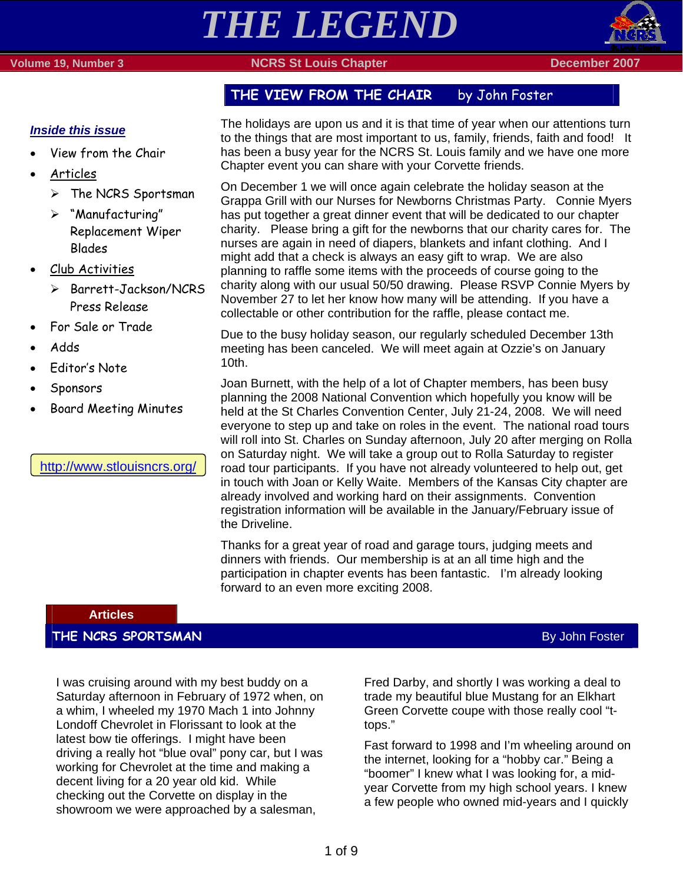## THE VIEW FROM THE CHAIR by John Foster

#### *Inside this issue*

- View from the Chair
- Articles
	- $\triangleright$  The NCRS Sportsman
	- $\triangleright$  "Manufacturing" Replacement Wiper Blades
- Club Activities
	- ¾ Barrett-Jackson/NCRS Press Release
- For Sale or Trade
- Adds
- Editor's Note
- **Sponsors**
- Board Meeting Minutes

http://www.stlouisncrs.org/

The holidays are upon us and it is that time of year when our attentions turn to the things that are most important to us, family, friends, faith and food! It has been a busy year for the NCRS St. Louis family and we have one more Chapter event you can share with your Corvette friends.

On December 1 we will once again celebrate the holiday season at the Grappa Grill with our Nurses for Newborns Christmas Party. Connie Myers has put together a great dinner event that will be dedicated to our chapter charity. Please bring a gift for the newborns that our charity cares for. The nurses are again in need of diapers, blankets and infant clothing. And I might add that a check is always an easy gift to wrap. We are also planning to raffle some items with the proceeds of course going to the charity along with our usual 50/50 drawing. Please RSVP Connie Myers by November 27 to let her know how many will be attending. If you have a collectable or other contribution for the raffle, please contact me.

Due to the busy holiday season, our regularly scheduled December 13th meeting has been canceled. We will meet again at Ozzie's on January 10th.

Joan Burnett, with the help of a lot of Chapter members, has been busy planning the 2008 National Convention which hopefully you know will be held at the St Charles Convention Center, July 21-24, 2008. We will need everyone to step up and take on roles in the event. The national road tours will roll into St. Charles on Sunday afternoon, July 20 after merging on Rolla on Saturday night. We will take a group out to Rolla Saturday to register road tour participants. If you have not already volunteered to help out, get in touch with Joan or Kelly Waite. Members of the Kansas City chapter are already involved and working hard on their assignments. Convention registration information will be available in the January/February issue of the Driveline.

Thanks for a great year of road and garage tours, judging meets and dinners with friends. Our membership is at an all time high and the participation in chapter events has been fantastic. I'm already looking forward to an even more exciting 2008.

#### **Articles**

### **THE NCRS SPORTSMAN** By John Foster

I was cruising around with my best buddy on a Saturday afternoon in February of 1972 when, on a whim, I wheeled my 1970 Mach 1 into Johnny Londoff Chevrolet in Florissant to look at the latest bow tie offerings. I might have been driving a really hot "blue oval" pony car, but I was working for Chevrolet at the time and making a decent living for a 20 year old kid. While checking out the Corvette on display in the showroom we were approached by a salesman,

Fred Darby, and shortly I was working a deal to trade my beautiful blue Mustang for an Elkhart Green Corvette coupe with those really cool "ttops."

Fast forward to 1998 and I'm wheeling around on the internet, looking for a "hobby car." Being a "boomer" I knew what I was looking for, a midyear Corvette from my high school years. I knew a few people who owned mid-years and I quickly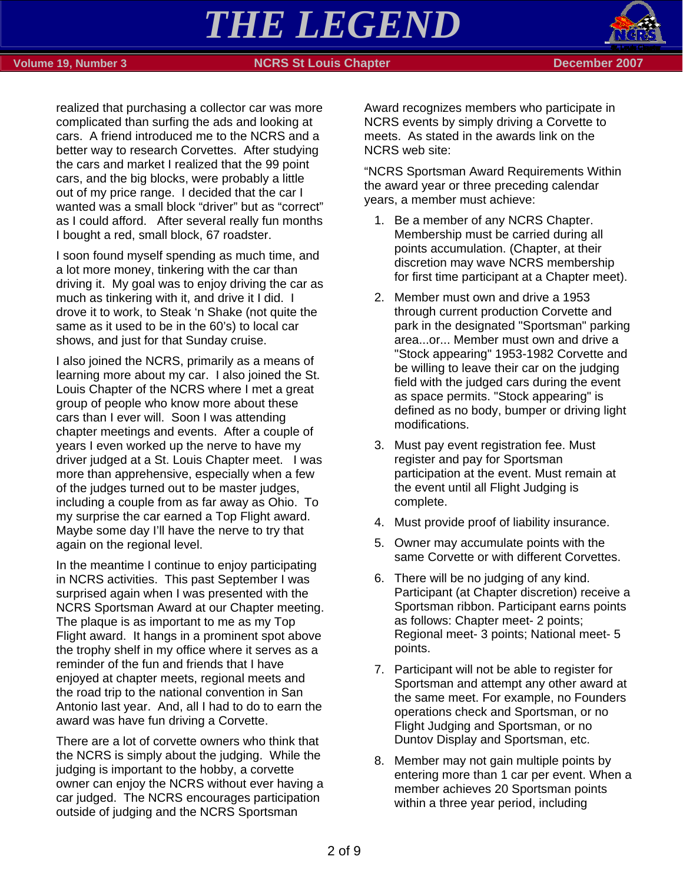



realized that purchasing a collector car was more complicated than surfing the ads and looking at cars. A friend introduced me to the NCRS and a better way to research Corvettes. After studying the cars and market I realized that the 99 point cars, and the big blocks, were probably a little out of my price range. I decided that the car I wanted was a small block "driver" but as "correct" as I could afford. After several really fun months I bought a red, small block, 67 roadster.

I soon found myself spending as much time, and a lot more money, tinkering with the car than driving it. My goal was to enjoy driving the car as much as tinkering with it, and drive it I did. I drove it to work, to Steak 'n Shake (not quite the same as it used to be in the 60's) to local car shows, and just for that Sunday cruise.

I also joined the NCRS, primarily as a means of learning more about my car. I also joined the St. Louis Chapter of the NCRS where I met a great group of people who know more about these cars than I ever will. Soon I was attending chapter meetings and events. After a couple of years I even worked up the nerve to have my driver judged at a St. Louis Chapter meet. I was more than apprehensive, especially when a few of the judges turned out to be master judges, including a couple from as far away as Ohio. To my surprise the car earned a Top Flight award. Maybe some day I'll have the nerve to try that again on the regional level.

In the meantime I continue to enjoy participating in NCRS activities. This past September I was surprised again when I was presented with the NCRS Sportsman Award at our Chapter meeting. The plaque is as important to me as my Top Flight award. It hangs in a prominent spot above the trophy shelf in my office where it serves as a reminder of the fun and friends that I have enjoyed at chapter meets, regional meets and the road trip to the national convention in San Antonio last year. And, all I had to do to earn the award was have fun driving a Corvette.

There are a lot of corvette owners who think that the NCRS is simply about the judging. While the judging is important to the hobby, a corvette owner can enjoy the NCRS without ever having a car judged. The NCRS encourages participation outside of judging and the NCRS Sportsman

Award recognizes members who participate in NCRS events by simply driving a Corvette to meets. As stated in the awards link on the NCRS web site:

"NCRS Sportsman Award Requirements Within the award year or three preceding calendar years, a member must achieve:

- 1. Be a member of any NCRS Chapter. Membership must be carried during all points accumulation. (Chapter, at their discretion may wave NCRS membership for first time participant at a Chapter meet).
- 2. Member must own and drive a 1953 through current production Corvette and park in the designated "Sportsman" parking area...or... Member must own and drive a "Stock appearing" 1953-1982 Corvette and be willing to leave their car on the judging field with the judged cars during the event as space permits. "Stock appearing" is defined as no body, bumper or driving light modifications.
- 3. Must pay event registration fee. Must register and pay for Sportsman participation at the event. Must remain at the event until all Flight Judging is complete.
- 4. Must provide proof of liability insurance.
- 5. Owner may accumulate points with the same Corvette or with different Corvettes.
- 6. There will be no judging of any kind. Participant (at Chapter discretion) receive a Sportsman ribbon. Participant earns points as follows: Chapter meet- 2 points; Regional meet- 3 points; National meet- 5 points.
- 7. Participant will not be able to register for Sportsman and attempt any other award at the same meet. For example, no Founders operations check and Sportsman, or no Flight Judging and Sportsman, or no Duntov Display and Sportsman, etc.
- 8. Member may not gain multiple points by entering more than 1 car per event. When a member achieves 20 Sportsman points within a three year period, including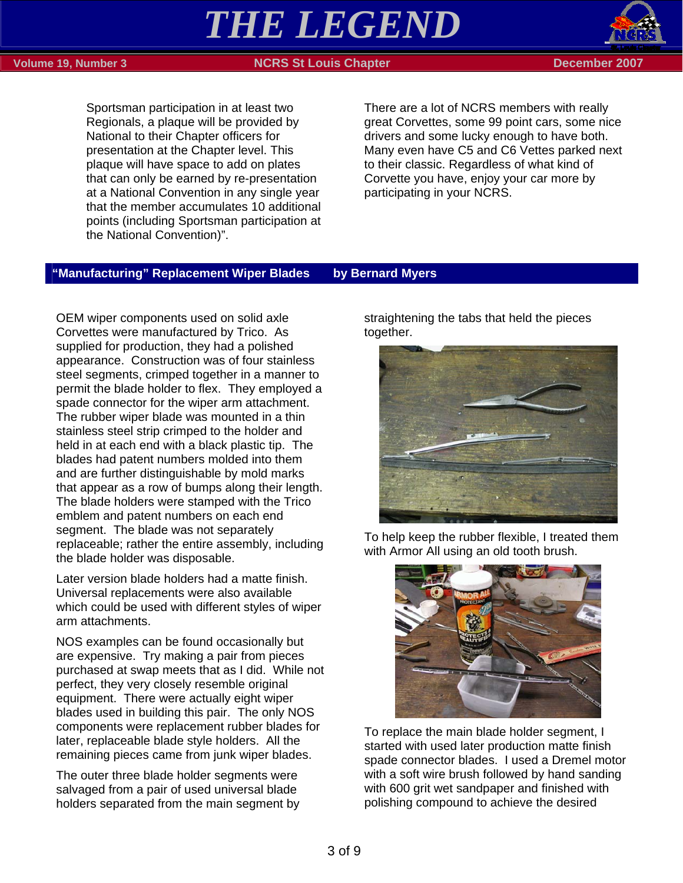



Sportsman participation in at least two Regionals, a plaque will be provided by National to their Chapter officers for presentation at the Chapter level. This plaque will have space to add on plates that can only be earned by re-presentation at a National Convention in any single year that the member accumulates 10 additional points (including Sportsman participation at the National Convention)".

There are a lot of NCRS members with really great Corvettes, some 99 point cars, some nice drivers and some lucky enough to have both. Many even have C5 and C6 Vettes parked next to their classic. Regardless of what kind of Corvette you have, enjoy your car more by participating in your NCRS.

### **"Manufacturing" Replacement Wiper Blades by Bernard Myers**

OEM wiper components used on solid axle Corvettes were manufactured by Trico. As supplied for production, they had a polished appearance. Construction was of four stainless steel segments, crimped together in a manner to permit the blade holder to flex. They employed a spade connector for the wiper arm attachment. The rubber wiper blade was mounted in a thin stainless steel strip crimped to the holder and held in at each end with a black plastic tip. The blades had patent numbers molded into them and are further distinguishable by mold marks that appear as a row of bumps along their length. The blade holders were stamped with the Trico emblem and patent numbers on each end segment. The blade was not separately replaceable; rather the entire assembly, including the blade holder was disposable.

Later version blade holders had a matte finish. Universal replacements were also available which could be used with different styles of wiper arm attachments.

NOS examples can be found occasionally but are expensive. Try making a pair from pieces purchased at swap meets that as I did. While not perfect, they very closely resemble original equipment. There were actually eight wiper blades used in building this pair. The only NOS components were replacement rubber blades for later, replaceable blade style holders. All the remaining pieces came from junk wiper blades.

The outer three blade holder segments were salvaged from a pair of used universal blade holders separated from the main segment by straightening the tabs that held the pieces together.



To help keep the rubber flexible, I treated them with Armor All using an old tooth brush.



To replace the main blade holder segment, I started with used later production matte finish spade connector blades. I used a Dremel motor with a soft wire brush followed by hand sanding with 600 grit wet sandpaper and finished with polishing compound to achieve the desired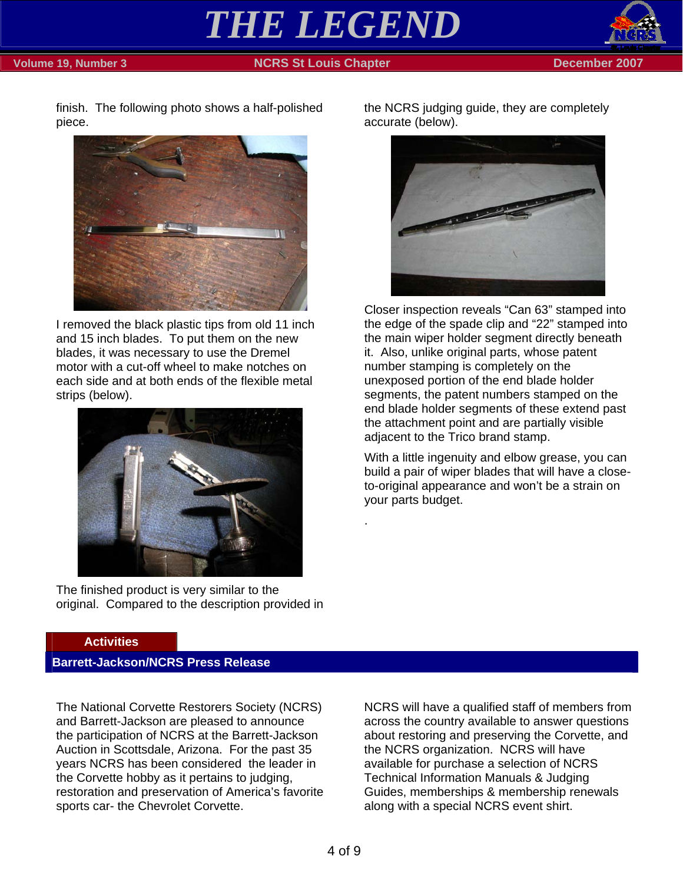## *THE LEGEND*



#### **Volume 19, Number 3 NCRS St Louis Chapter December 2007**

finish. The following photo shows a half-polished piece.



I removed the black plastic tips from old 11 inch and 15 inch blades. To put them on the new blades, it was necessary to use the Dremel motor with a cut-off wheel to make notches on each side and at both ends of the flexible metal strips (below).



The finished product is very similar to the original. Compared to the description provided in the NCRS judging guide, they are completely accurate (below).



Closer inspection reveals "Can 63" stamped into the edge of the spade clip and "22" stamped into the main wiper holder segment directly beneath it. Also, unlike original parts, whose patent number stamping is completely on the unexposed portion of the end blade holder segments, the patent numbers stamped on the end blade holder segments of these extend past the attachment point and are partially visible adjacent to the Trico brand stamp.

With a little ingenuity and elbow grease, you can build a pair of wiper blades that will have a closeto-original appearance and won't be a strain on your parts budget.

#### **Activities**

#### **Barrett-Jackson/NCRS Press Release**

The National Corvette Restorers Society (NCRS) and Barrett-Jackson are pleased to announce the participation of NCRS at the Barrett-Jackson Auction in Scottsdale, Arizona. For the past 35 years NCRS has been considered the leader in the Corvette hobby as it pertains to judging, restoration and preservation of America's favorite sports car- the Chevrolet Corvette.

NCRS will have a qualified staff of members from across the country available to answer questions about restoring and preserving the Corvette, and the NCRS organization. NCRS will have available for purchase a selection of NCRS Technical Information Manuals & Judging Guides, memberships & membership renewals along with a special NCRS event shirt.

.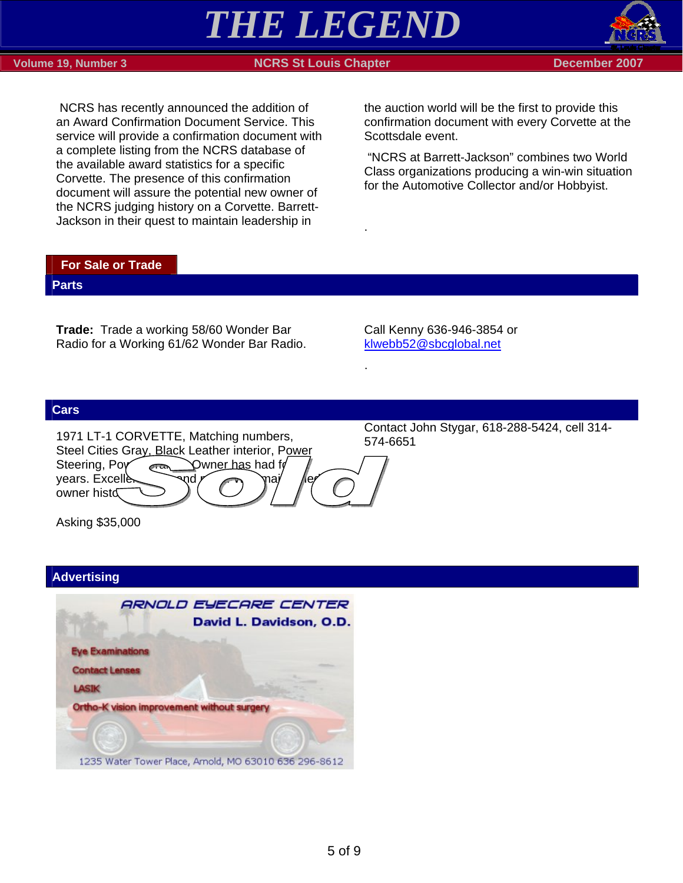

.

.



#### **Volume 19, Number 3 NCRS St Louis Chapter December 2007**



 NCRS has recently announced the addition of an Award Confirmation Document Service. This service will provide a confirmation document with a complete listing from the NCRS database of the available award statistics for a specific Corvette. The presence of this confirmation document will assure the potential new owner of the NCRS judging history on a Corvette. Barrett-Jackson in their quest to maintain leadership in

the auction world will be the first to provide this confirmation document with every Corvette at the Scottsdale event.

 "NCRS at Barrett-Jackson" combines two World Class organizations producing a win-win situation for the Automotive Collector and/or Hobbyist.

#### **For Sale or Trade**

#### **Parts**

**Trade:** Trade a working 58/60 Wonder Bar Radio for a Working 61/62 Wonder Bar Radio. Call Kenny 636-946-3854 or klwebb52@sbcglobal.net

#### **Cars**

1971 LT-1 CORVETTE, Matching numbers, Steel Cities Gray, Black Leather interior, Power Steering, Poy and Dwner has had for years. Excelle owner histo

Contact John Stygar, 618-288-5424, cell 314- 574-6651

Asking \$35,000

#### **Advertising**

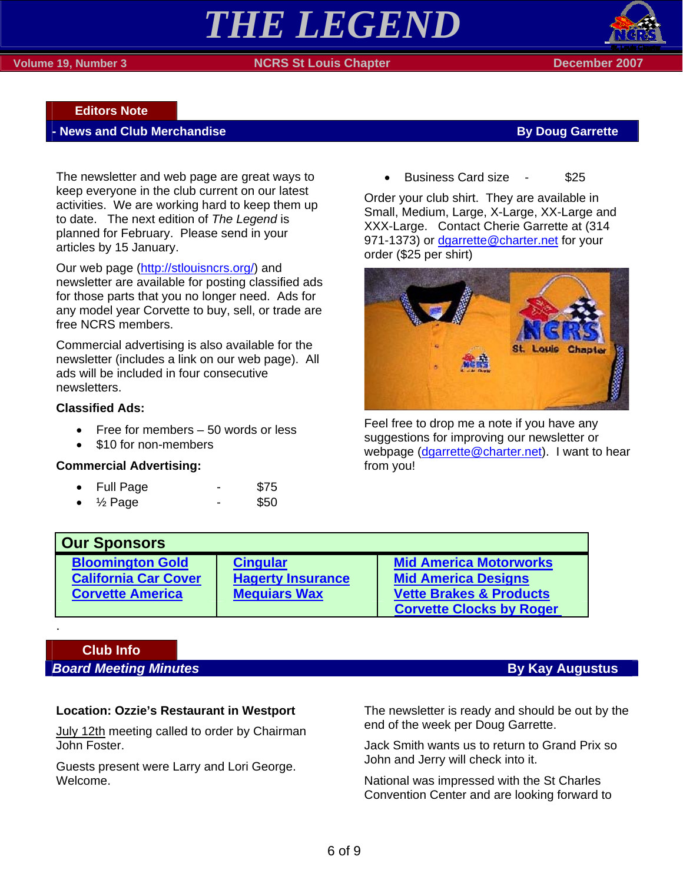

#### **Editors Note**

#### **News and Club Merchandise By Doug Garrette By Doug Garrette**

The newsletter and web page are great ways to keep everyone in the club current on our latest activities. We are working hard to keep them up to date. The next edition of *The Legend* is planned for February. Please send in your articles by 15 January.

Our web page (http://stlouisncrs.org/) and newsletter are available for posting classified ads for those parts that you no longer need. Ads for any model year Corvette to buy, sell, or trade are free NCRS members.

Commercial advertising is also available for the newsletter (includes a link on our web page). All ads will be included in four consecutive newsletters.

#### **Classified Ads:**

- Free for members 50 words or less
- \$10 for non-members

#### **Commercial Advertising:**

| <b>Full Page</b> | \$75 |
|------------------|------|
|                  |      |

 $\frac{1}{2}$  Page  $\frac{1}{2}$  - \$50

• Business Card size - \$25

Order your club shirt. They are available in Small, Medium, Large, X-Large, XX-Large and XXX-Large. Contact Cherie Garrette at (314 971-1373) or dgarrette@charter.net for your order (\$25 per shirt)



Feel free to drop me a note if you have any suggestions for improving our newsletter or webpage (dgarrette@charter.net). I want to hear from you!

| <b>Our Sponsors</b>         |                          |                                    |  |  |  |
|-----------------------------|--------------------------|------------------------------------|--|--|--|
| <b>Bloomington Gold</b>     | <b>Cingular</b>          | <b>Mid America Motorworks</b>      |  |  |  |
| <b>California Car Cover</b> | <b>Hagerty Insurance</b> | <b>Mid America Designs</b>         |  |  |  |
| <b>Corvette America</b>     | <b>Mequiars Wax</b>      | <b>Vette Brakes &amp; Products</b> |  |  |  |
|                             |                          | <b>Corvette Clocks by Roger</b>    |  |  |  |

## **Club Info**

.

**Board Meeting Minutes By Kay Augustus** 

#### **Location: Ozzie's Restaurant in Westport**

July 12th meeting called to order by Chairman John Foster.

Guests present were Larry and Lori George. Welcome.

The newsletter is ready and should be out by the end of the week per Doug Garrette.

Jack Smith wants us to return to Grand Prix so John and Jerry will check into it.

National was impressed with the St Charles Convention Center and are looking forward to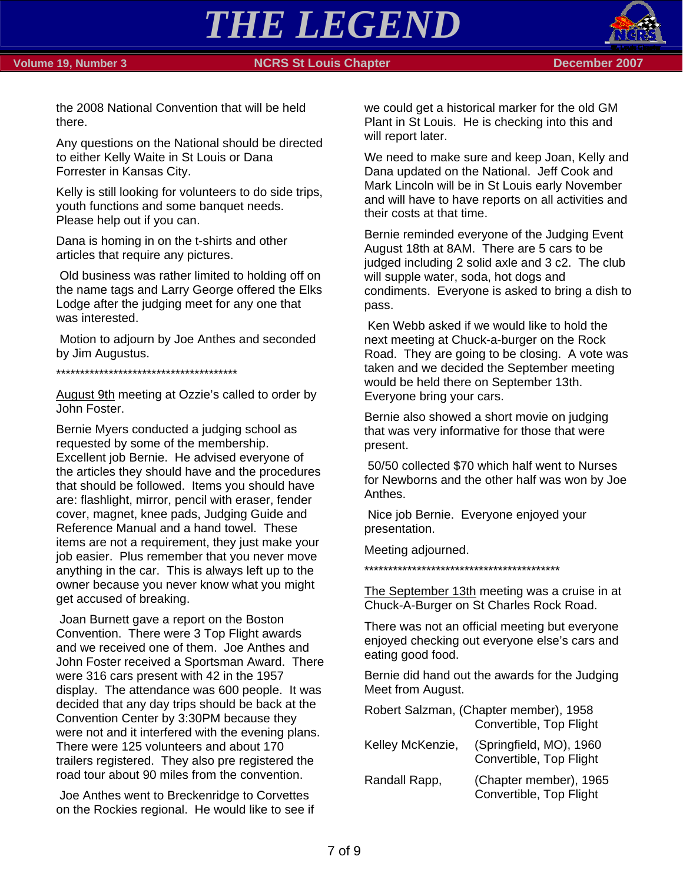*THE LEGEND* 



the 2008 National Convention that will be held there.

Any questions on the National should be directed to either Kelly Waite in St Louis or Dana Forrester in Kansas City.

Kelly is still looking for volunteers to do side trips, youth functions and some banquet needs. Please help out if you can.

Dana is homing in on the t-shirts and other articles that require any pictures.

 Old business was rather limited to holding off on the name tags and Larry George offered the Elks Lodge after the judging meet for any one that was interested.

 Motion to adjourn by Joe Anthes and seconded by Jim Augustus.

\*\*\*\*\*\*\*\*\*\*\*\*\*\*\*\*\*\*\*\*\*\*\*\*\*\*\*\*\*\*\*\*\*\*\*\*\*\*

August 9th meeting at Ozzie's called to order by John Foster.

Bernie Myers conducted a judging school as requested by some of the membership. Excellent job Bernie. He advised everyone of the articles they should have and the procedures that should be followed. Items you should have are: flashlight, mirror, pencil with eraser, fender cover, magnet, knee pads, Judging Guide and Reference Manual and a hand towel. These items are not a requirement, they just make your job easier. Plus remember that you never move anything in the car. This is always left up to the owner because you never know what you might get accused of breaking.

 Joan Burnett gave a report on the Boston Convention. There were 3 Top Flight awards and we received one of them. Joe Anthes and John Foster received a Sportsman Award. There were 316 cars present with 42 in the 1957 display. The attendance was 600 people. It was decided that any day trips should be back at the Convention Center by 3:30PM because they were not and it interfered with the evening plans. There were 125 volunteers and about 170 trailers registered. They also pre registered the road tour about 90 miles from the convention.

 Joe Anthes went to Breckenridge to Corvettes on the Rockies regional. He would like to see if we could get a historical marker for the old GM Plant in St Louis. He is checking into this and will report later.

We need to make sure and keep Joan, Kelly and Dana updated on the National. Jeff Cook and Mark Lincoln will be in St Louis early November and will have to have reports on all activities and their costs at that time.

Bernie reminded everyone of the Judging Event August 18th at 8AM. There are 5 cars to be judged including 2 solid axle and 3 c2. The club will supple water, soda, hot dogs and condiments. Everyone is asked to bring a dish to pass.

 Ken Webb asked if we would like to hold the next meeting at Chuck-a-burger on the Rock Road. They are going to be closing. A vote was taken and we decided the September meeting would be held there on September 13th. Everyone bring your cars.

Bernie also showed a short movie on judging that was very informative for those that were present.

 50/50 collected \$70 which half went to Nurses for Newborns and the other half was won by Joe Anthes.

 Nice job Bernie. Everyone enjoyed your presentation.

Meeting adjourned.

\*\*\*\*\*\*\*\*\*\*\*\*\*\*\*\*\*\*\*\*\*\*\*\*\*\*\*\*\*\*\*\*\*\*\*\*\*\*\*\*\*

The September 13th meeting was a cruise in at Chuck-A-Burger on St Charles Rock Road.

There was not an official meeting but everyone enjoyed checking out everyone else's cars and eating good food.

Bernie did hand out the awards for the Judging Meet from August.

|                  | Robert Salzman, (Chapter member), 1958<br>Convertible, Top Flight |
|------------------|-------------------------------------------------------------------|
| Kelley McKenzie, | (Springfield, MO), 1960<br>Convertible, Top Flight                |
| Randall Rapp,    | (Chapter member), 1965<br>Convertible, Top Flight                 |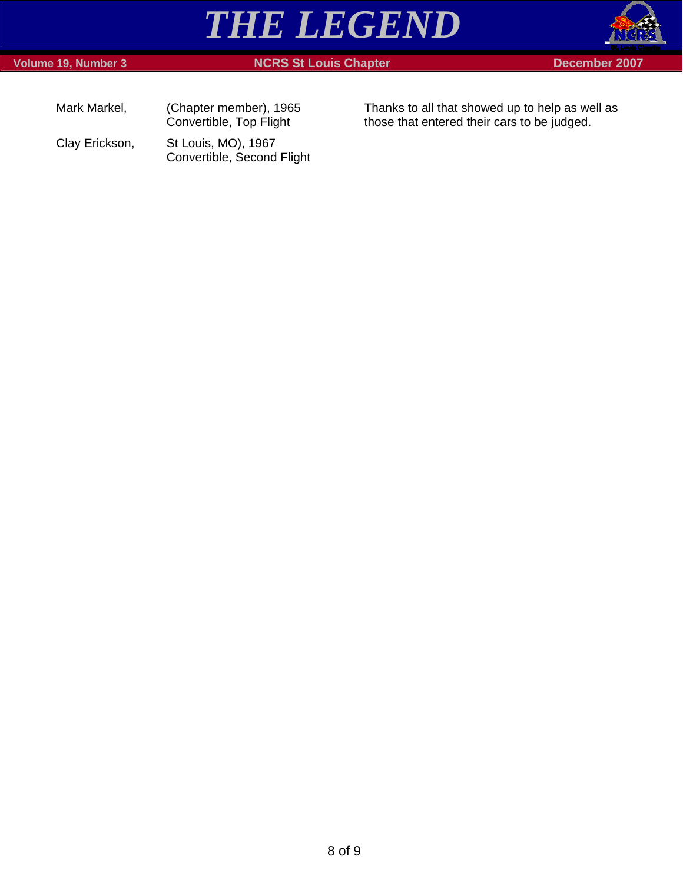

### **Volume 19, Number 3** NCRS St Louis Chapter **NCRS St Louis Chapter** December 2007



| Mark Markel,   | (Chapter member), 1965<br>Convertible, Top Flight |
|----------------|---------------------------------------------------|
| Clay Erickson, | St Louis, MO), 1967                               |

Convertible, Second Flight

Thanks to all that showed up to help as well as those that entered their cars to be judged.